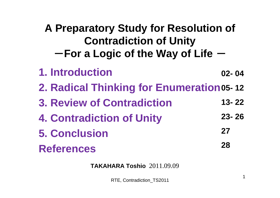### **A Preparatory Study for Resolution of Contradiction of Unity**  $-$  For a Logic of the Way of Life

**1. Introduction 2. Radical Thinking for Enumeration 05- 12 3. Review of Contradiction 4. Contradiction of Unity 5. ConclusionReferences02- 0413- 2223- 262728**

**TAKAHARA Toshio** 2011.09.09

RTE, Contradiction\_TS2011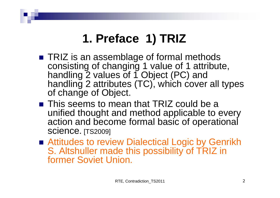# **1. Preface 1) TRIZ**

- TRIZ is an assemblage of formal methods consisting of changing 1 value of 1 attribute, handling 2 values of 1 Object (PC) and handling 2 attributes (TC), which cover all types of change of Object.
- $\blacksquare$  This seems to mean that TRIZ could be a unified thought and method applicable to every action and become formal basic of operational Science. [TS2009]
- Attitudes to review Dialectical Logic by Genrikh S. Altshuller made this possibility of TRIZ in former Soviet Union.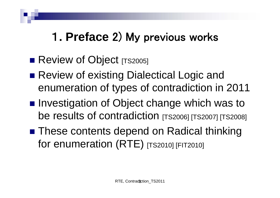# 1**. Preface** 2) My previous works

- **Review of Object [TS2005]**
- Review of existing Dialectical Logic and enumeration of types of contradiction in 2011
- Investigation of Object change which was to be results of contradiction [TS2006] [TS2007] [TS2008]
- These contents depend on Radical thinking for enumeration (RTE) [TS2010] [FIT2010]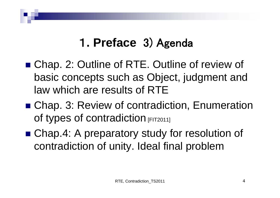# 1**. Preface** 3) Agenda

- Chap. 2: Outline of RTE. Outline of review of basic concepts such as Object, judgment and law which are results of RTE
- Chap. 3: Review of contradiction, Enumeration of types of contradiction [FIT2011]
- Chap.4: A preparatory study for resolution of contradiction of unity. Ideal final problem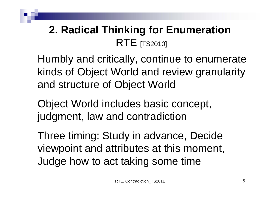### **2. Radical Thinking for Enumeration**  $\mathsf{RTE}\$  [TS2010]

Humbly and critically, continue to enumerate kinds of Object World and review granularity and structure of Object World

Object World includes basic concept, judgment, law and contradiction

Three timing: Study in advance, Decide viewpoint and attributes at this moment, Judge how to act taking some time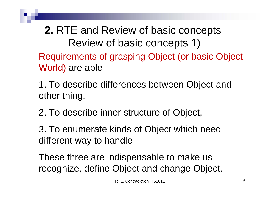**2.** RTE and Review of basic concepts Review of basic concepts 1) Requirements of grasping Object (or basic Object World) are able

1. To describe differences between Object and other thing,

2. To describe inner structure of Object,

3. To enumerate kinds of Object which need different way to handle

These three are indispensable to make us recognize, define Object and change Object.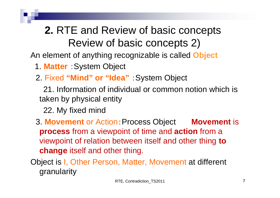# **2.** RTE and Review of basic concepts Review of basic concepts 2)

An element of anything recognizable is called **Object**

- 1. **Matter** :System Object
- 2. Fixed **"Mind" or "Idea"** :System Object

21. Information of individual or common notion which is taken by physical entity

22. My fixed mind

3. **Movement** or Action:Process Object **Movement** is **process** from a viewpoint of time and **action** from a viewpoint of relation between itself and other thing **to change** itself and other thing.

Object is I, Other Person, Matter, Movement at different granularity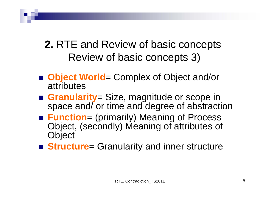### **2.** RTE and Review of basic concepts Review of basic concepts 3)

- **Object World**= Complex of Object and/or attributes
- Granularity= Size, magnitude or scope in space and/ or time and degree of abstraction
- Function= (primarily) Meaning of Process Object, (secondly) Meaning of attributes of **Object**
- **Structure**= Granularity and inner structure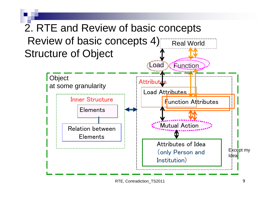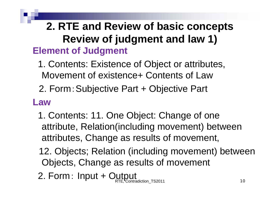### **2. RTE and Review of basic concepts Review of judgment and law 1) Element of Judgment**

- Movement of existence+ Contents of Law1. Contents: Existence of Object or attributes,
- 2. Form:Subjective Part + Objective Part

#### **Law**

- 1. Contents: 11. One Object: Change of one attribute, Relation(including movement) between attributes, Change as results of movement,
- 12. Objects; Relation (including movement) between Objects, Change as results of movement
- radiction\_TS2011 2. Form: Input + Output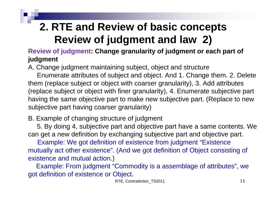## **2. RTE and Review of basic concepts Review of judgment and law 2)**

#### **Review of judgment: Change granularity of judgment or each part of judgment**

A. Change judgment maintaining subject, object and structure

Enumerate attributes of subject and object. And 1. Change them. 2. Delete them (replace subject or object with coarser granularity), 3. Add attributes (replace subject or object with finer granularity), 4. Enumerate subjective part having the same objective part to make new subjective part. (Replace to new subjective part having coarser granularity)

#### B. Example of changing structure of judgment

5. By doing 4, subjective part and objective part have a same contents. We can get a new definition by exchanging subjective part and objective part.

Example: We got definition of existence from judgment "Existence mutually act other existence". (And we got definition of Object consisting of existence and mutual action.)

Example: From judgment "Commodity is a assemblage of attributes", we got definition of existence or Object.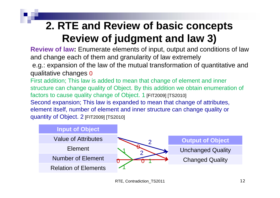### **2. RTE and Review of basic concepts Review of judgment and law 3)**

**Review of law:** Enumerate elements of input, output and conditions of law and change each of them and granularity of law extremely

e.g.: expansion of the law of the mutual transformation of quantitative and qualitative changes <sup>0</sup>

First addition; This law is added to mean that change of element and inner structure can change quality of Object. By this addition we obtain enumeration of factors to cause quality change of Object. 1 [FIT2009] [TS2010] Second expansion; This law is expanded to mean that change of attributes, element itself, number of element and inner structure can change quality or quantity of Object. 2 [FIT2009] [TS2010]

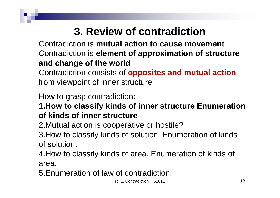Contradiction is **mutual action to cause movement** Contradiction is **element of approximation of structure and change of the world**

Contradiction consists of **opposites and mutual action**  from viewpoint of inner structure

How to grasp contradiction:

**1.How to classify kinds of inner structure Enumeration of kinds of inner structure**

2.Mutual action is cooperative or hostile?

3.How to classify kinds of solution. Enumeration of kinds of solution.

4.How to classify kinds of area. Enumeration of kinds of area.

5.Enumeration of law of contradiction.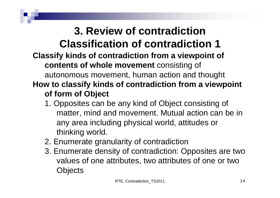#### **Classify kinds of contradiction from a viewpoint of contents of whole movement** consisting of autonomous movement, human action and thought **How to classify kinds of contradiction from a viewpoint of form of Object 3. Review of contradiction Classification of contradiction 1**

- 1. Opposites can be any kind of Object consisting of matter, mind and movement. Mutual action can be in any area including physical world, attitudes or thinking world.
- 2. Enumerate granularity of contradiction
- 3. Enumerate density of contradiction: Opposites are two values of one attributes, two attributes of one or two **Objects**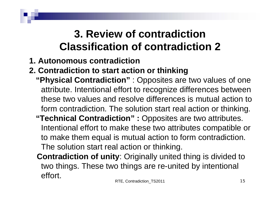### **3. Review of contradiction Classification of contradiction 2**

- **1. Autonomous contradiction**
- **2. Contradiction to start action or thinking**
	- **"Physical Contradiction"** : Opposites are two values of one attribute. Intentional effort to recognize differences between these two values and resolve differences is mutual action to form contradiction. The solution start real action or thinking. **"Technical Contradiction" :** Opposites are two attributes. Intentional effort to make these two attributes compatible or to make them equal is mutual action to form contradiction. The solution start real action or thinking.
		- **Contradiction of unity**: Originally united thing is divided to two things. These two things are re-united by intentional effort.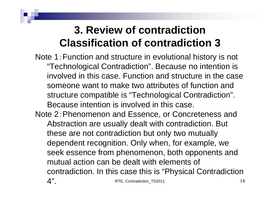### **3. Review of contradiction Classification of contradiction 3**

Note 1:Function and structure in evolutional history is not "Technological Contradiction". Because no intention is involved in this case. Function and structure in the case someone want to make two attributes of function and structure compatible is "Technological Contradiction". Because intention is involved in this case.

Note 2:Phenomenon and Essence, or Concreteness and Abstraction are usually dealt with contradiction. But these are not contradiction but only two mutually dependent recognition. Only when, for example, we seek essence from phenomenon, both opponents and mutual action can be dealt with elements of contradiction. In this case this is "Physical Contradiction  $4"$ RTE, Contradiction\_TS2011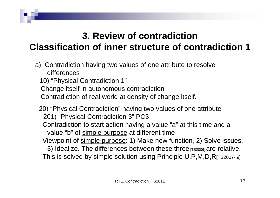#### **3. Review of contradiction Classification of inner structure of contradiction 1**

a) Contradiction having two values of one attribute to resolve differences

10) "Physical Contradiction 1"

Change itself in autonomous contradiction

Contradiction of real world at density of change itself.

20) "Physical Contradiction" having two values of one attribute 201) "Physical Contradiction 3" PC3 Contradiction to start <u>action</u> having a value "a" at this time and a value "b" of simple purpose at different time Viewpoint of simple purpose: 1) Make new function, 2) Solve issues, 3) Idealize. The differences between these three  $[T52006]$  are relative. This is solved by simple solution using Principle U,P,M,D,R[TS2007- 9]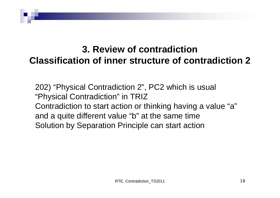#### **3. Review of contradiction Classification of inner structure of contradiction 2**

202) "Physical Contradiction 2", PC2 which is usual "Physical Contradiction" in TRIZ Contradiction to start action or thinking having a value "a" and a quite different value "b" at the same time Solution by Separation Principle can start action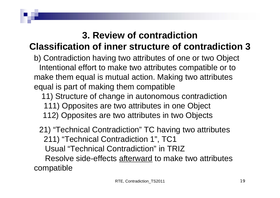#### **Classification of inner structure of contradiction 3**

b) Contradiction having two attributes of one or two Object Intentional effort to make two attributes compatible or to make them equal is mutual action. Making two attributes equal is part of making them compatible

11) Structure of change in autonomous contradiction 111) Opposites are two attributes in one Object 112) Opposites are two attributes in two Objects

21) "Technical Contradiction" TC having two attributes 211) "Technical Contradiction 1", TC1 Usual "Technical Contradiction" in TRIZResolve side-effects afterward to make two attributes compatible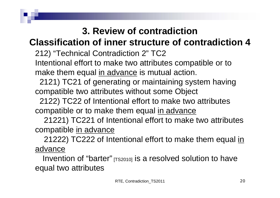#### **Classification of inner structure of contradiction 4**

212) "Technical Contradiction 2" TC2

Intentional effort to make two attributes compatible or to make them equal in advance is mutual action.

2121) TC21 of generating or maintaining system having compatible two attributes without some Object

2122) TC22 of Intentional effort to make two attributes compatible or to make them equal in advance

21221) TC221 of Intentional effort to make two attributes compatible in advance

21222) TC222 of Intentional effort to make them equal in advance

Invention of "barter"  $(TS2010)$  is a resolved solution to have equal two attributes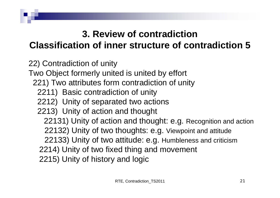#### **Classification of inner structure of contradiction 5**

22) Contradiction of unity

Two Object formerly united is united by effort

- 221) Two attributes form contradiction of unity
	- 2211) Basic contradiction of unity
	- 2212) Unity of separated two actions
	- 2213) Unity of action and thought
		- 22131) Unity of action and thought: e.g. Recognition and action
		- 22132) Unity of two thoughts: e.g. Viewpoint and attitude
		- 22133) Unity of two attitude: e.g. Humbleness and criticism
		- 2214) Unity of two fixed thing and movement
		- 2215) Unity of history and logic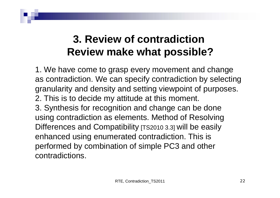### **3. Review of contradictionReview make what possible?**

1. We have come to grasp every movement and change as contradiction. We can specify contradiction by selecting granularity and density and setting viewpoint of purposes. 2. This is to decide my attitude at this moment. 3. Synthesis for recognition and change can be done using contradiction as elements. Method of Resolving Differences and Compatibility [TS2010 3.3] will be easily enhanced using enumerated contradiction. This is performed by combination of simple PC3 and other contradictions.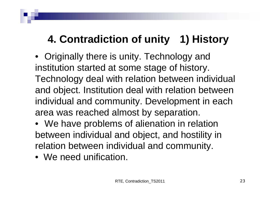# **4. Contradiction of unity 1) History**

- Originally there is unity. Technology and institution started at some stage of history. Technology deal with relation between individual and object. Institution deal with relation between individual and community. Development in each area was reached almost by separation.
- We have problems of alienation in relation between individual and object, and hostility in relation between individual and community.
- We need unification.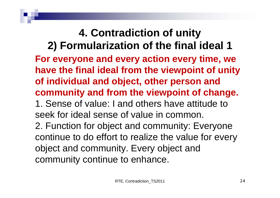**4. Contradiction of unity 2) Formularization of the final ideal 1 For everyone and every action every time, we have the final ideal from the viewpoint of unity of individual and object, other person and community and from the viewpoint of change.** 1. Sense of value: I and others have attitude to seek for ideal sense of value in common. 2. Function for object and community: Everyone continue to do effort to realize the value for every object and community. Every object and community continue to enhance.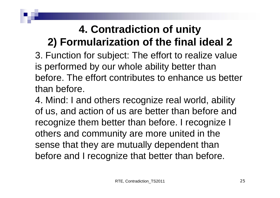### **4. Contradiction of unity 2) Formularization of the final ideal 2**

3. Function for subject: The effort to realize value is performed by our whole ability better than before. The effort contributes to enhance us better than before.

4. Mind: I and others recognize real world, ability of us, and action of us are better than before and recognize them better than before. I recognize I others and community are more united in the sense that they are mutually dependent than before and I recognize that better than before.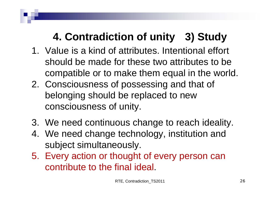# **4. Contradiction of unity 3) Study**

- 1. Value is a kind of attributes. Intentional effort should be made for these two attributes to be compatible or to make them equal in the world.
- 2. Consciousness of possessing and that of belonging should be replaced to new consciousness of unity.
- 3. We need continuous change to reach ideality.
- 4. We need change technology, institution and subject simultaneously.
- 5. Every action or thought of every person can contribute to the final ideal.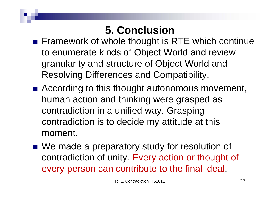### **5. Conclusion**

- Framework of whole thought is RTE which continue to enumerate kinds of Object World and review granularity and structure of Object World and Resolving Differences and Compatibility.
- According to this thought autonomous movement, human action and thinking were grasped as contradiction in a unified way. Grasping contradiction is to decide my attitude at this moment.
- We made a preparatory study for resolution of contradiction of unity. Every action or thought of every person can contribute to the final ideal.